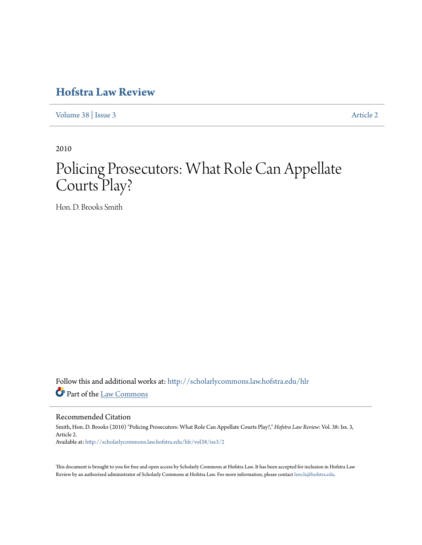## **[Hofstra Law Review](http://scholarlycommons.law.hofstra.edu/hlr?utm_source=scholarlycommons.law.hofstra.edu%2Fhlr%2Fvol38%2Fiss3%2F2&utm_medium=PDF&utm_campaign=PDFCoverPages)**

[Volume 38](http://scholarlycommons.law.hofstra.edu/hlr/vol38?utm_source=scholarlycommons.law.hofstra.edu%2Fhlr%2Fvol38%2Fiss3%2F2&utm_medium=PDF&utm_campaign=PDFCoverPages) | [Issue 3](http://scholarlycommons.law.hofstra.edu/hlr/vol38/iss3?utm_source=scholarlycommons.law.hofstra.edu%2Fhlr%2Fvol38%2Fiss3%2F2&utm_medium=PDF&utm_campaign=PDFCoverPages) [Article 2](http://scholarlycommons.law.hofstra.edu/hlr/vol38/iss3/2?utm_source=scholarlycommons.law.hofstra.edu%2Fhlr%2Fvol38%2Fiss3%2F2&utm_medium=PDF&utm_campaign=PDFCoverPages)

2010

# Policing Prosecutors: What Role Can Appellate Courts Play?

Hon. D. Brooks Smith

Follow this and additional works at: [http://scholarlycommons.law.hofstra.edu/hlr](http://scholarlycommons.law.hofstra.edu/hlr?utm_source=scholarlycommons.law.hofstra.edu%2Fhlr%2Fvol38%2Fiss3%2F2&utm_medium=PDF&utm_campaign=PDFCoverPages) Part of the [Law Commons](http://network.bepress.com/hgg/discipline/578?utm_source=scholarlycommons.law.hofstra.edu%2Fhlr%2Fvol38%2Fiss3%2F2&utm_medium=PDF&utm_campaign=PDFCoverPages)

#### Recommended Citation

Smith, Hon. D. Brooks (2010) "Policing Prosecutors: What Role Can Appellate Courts Play?," *Hofstra Law Review*: Vol. 38: Iss. 3, Article 2. Available at: [http://scholarlycommons.law.hofstra.edu/hlr/vol38/iss3/2](http://scholarlycommons.law.hofstra.edu/hlr/vol38/iss3/2?utm_source=scholarlycommons.law.hofstra.edu%2Fhlr%2Fvol38%2Fiss3%2F2&utm_medium=PDF&utm_campaign=PDFCoverPages)

This document is brought to you for free and open access by Scholarly Commons at Hofstra Law. It has been accepted for inclusion in Hofstra Law Review by an authorized administrator of Scholarly Commons at Hofstra Law. For more information, please contact [lawcls@hofstra.edu](mailto:lawcls@hofstra.edu).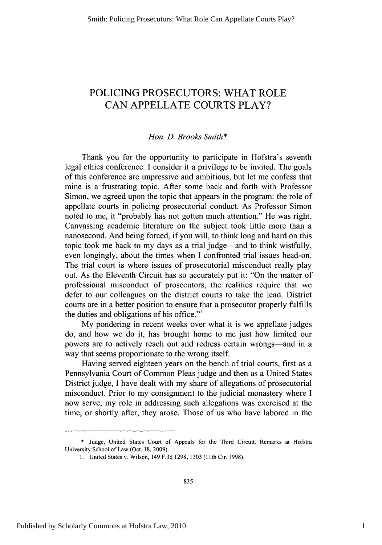### **POLICING** PROSECUTORS: WHAT ROLE **CAN APPELLATE COURTS** PLAY?

#### *Hon. D. Brooks Smith\**

Thank you for the opportunity to participate in Hofstra's seventh legal ethics conference. **I** consider it a privilege to be invited. The goals of this conference are impressive and ambitious, but let me confess that mine is a frustrating topic. After some back and forth with Professor Simon, we agreed upon the topic that appears in the program: the role of appellate courts in policing prosecutorial conduct. As Professor Simon noted to me, it "probably has not gotten much attention." He was right. Canvassing academic literature on the subject took little more than a nanosecond. And being forced, if you will, to think long and hard on this topic took me back to my days as a trial judge-and to think wistfully, even longingly, about the times when **I** confronted trial issues head-on. The trial court is where issues of prosecutorial misconduct really play out. As the Eleventh Circuit has so accurately put it: "On the matter of professional misconduct of prosecutors, the realities require that we defer to our colleagues on the district courts to take the lead. District courts are in a better position to ensure that a prosecutor properly fulfills the duties and obligations of his office."'

**My** pondering in recent weeks over what it is we appellate judges do, and how we do it, has brought home to me just how limited our powers are to actively reach out and redress certain wrongs—and in a way that seems proportionate to the wrong itself.

Having served eighteen years on the bench of trial courts, first as a Pennsylvania Court of Common Pleas judge and then as a United States District judge, **I** have dealt with my share of allegations of prosecutorial misconduct. Prior to my consignment to the judicial monastery where **I** now serve, my role in addressing such allegations was exercised at the time, or shortly after, they arose. Those of us who have labored in the

**<sup>\*</sup>** Judge, United States Court of Appeals for the Third Circuit. Remarks at Hofstra University School of Law (Oct. **18, 2009).**

**<sup>1.</sup>** United States v. Wilson, 149 **F.3d 1298, 1303 (11th** Cir. **1998).**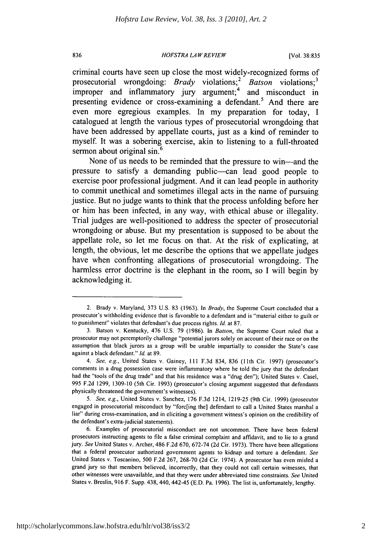#### *HOFSTRA LAW REVIEW* **836** [Vol. **38:835**

criminal courts have seen up close the most widely-recognized forms of prosecutorial wrongdoing: *Brady* violations;<sup>2</sup> Batson violations;<sup>3</sup> improper and inflammatory jury argument;<sup>4</sup> and misconduct in presenting evidence or cross-examining a defendant.<sup>5</sup> And there are even more egregious examples. In my preparation for today, **I** catalogued at length the various types of prosecutorial wrongdoing that have been addressed **by** appellate courts, just as a kind of reminder to myself. It was a sobering exercise, akin to listening to a full-throated sermon about original sin.<sup>6</sup>

None of us needs to be reminded that the pressure to win-and the pressure to satisfy a demanding public-can lead good people to exercise poor professional judgment. And it can lead people in authority to commit unethical and sometimes illegal acts in the name of pursuing justice. But no judge wants to think that the process unfolding before her or him has been infected, in any way, with ethical abuse or illegality. Trial judges are well-positioned to address the specter of prosecutorial wrongdoing or abuse. But my presentation is supposed to be about the appellate role, so let me focus on that. At the risk of explicating, at length, the obvious, let me describe the options that we appellate judges have when confronting allegations of prosecutorial wrongdoing. The harmless error doctrine is the elephant in the room, so **I** will begin **by** acknowledging it.

<sup>2.</sup> Brady v. Maryland, **373 U.S. 83 (1963).** In *Brady,* the Supreme Court concluded that a prosecutor's withholding evidence that is favorable to a defendant and is "material either to guilt or to punishment" violates that defendant's due process rights. *Id.* at **87.**

**<sup>3.</sup>** Batson v. Kentucky, 476 **U.S. 79 (1986).** In *Batson,* the Supreme Court ruled that a prosecutor may not peremptorily challenge "potential jurors solely on account of their race or on the assumption that black jurors as a group will be unable impartially to consider the State's case against a black defendant." *Id.* at **89.**

<sup>4.</sup> See, e.g., United States v. Gainey, **Ill F.3d** 834, **836** (11th Cir. **1997)** (prosecutor's comments in a drug possession case were inflammatory where he told the jury that the defendant had the "tools of the drug trade" and that his residence was a "drug den"); United States v. Casel, **995 F.2d 1299, 1309-10** (5th Cir. **1993)** (prosecutor's closing argument suggested that defendants physically threatened the government's witnesses).

**<sup>5.</sup>** See, e.g., United States v. Sanchez, **176 F.3d** 1214, **1219-25** (9th Cir. **1999)** (prosecutor engaged in prosecutorial misconduct **by** "forc[ing the] defendant to call a United States marshal a liar" during cross-examination, and in eliciting a government witness's opinion on the credibility of the defendant's extra-judicial statements).

**<sup>6.</sup>** Examples of prosecutorial misconduct are not uncommon. There have been federal prosecutors instructing agents to **file** a false criminal complaint and affidavit, and to lie to a grand jury. See United States v. Archer, 486 **F.2d 670, 672-74 (2d** Cir. **1973).** There have been allegations that a federal prosecutor authorized government agents to kidnap and torture a defendant. See United States v. Toscanino, **500 F.2d 267, 268-70 (2d** Cir. 1974). **A** prosecutor has even misled a grand jury so that members believed, incorrectly, that they could not call certain witnesses, that other witnesses were unavailable, and that they were under abbreviated time constraints. See United States v. Breslin, **916** F. Supp. 438, 440, 442-45 **(E.D.** Pa. **1996).** The list is, unfortunately, lengthy.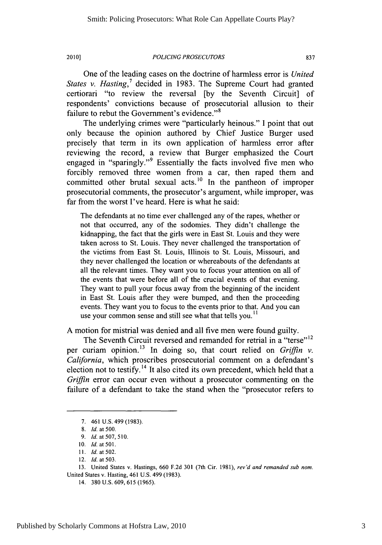One of the leading cases on the doctrine of harmless error is *United States v. Hasting*,<sup>7</sup> decided in 1983. The Supreme Court had granted certiorari "to review the reversal **[by** the Seventh Circuit] of respondents' convictions because of prosecutorial allusion to their failure to rebut the Government's evidence."<sup>8</sup>

The underlying crimes were "particularly heinous." **I** point that out only because the opinion authored **by** Chief Justice Burger used precisely that term in its own application of harmless error after reviewing the record, a review that Burger emphasized the Court engaged in "sparingly."<sup>9</sup> Essentially the facts involved five men who forcibly removed three women from a car, then raped them and committed other brutal sexual acts.<sup>10</sup> In the pantheon of improper prosecutorial comments, the prosecutor's argument, while improper, was far from the worst I've heard. Here is what he said:

The defendants at no time ever challenged any of the rapes, whether or not that occurred, any of the sodomies. They didn't challenge the kidnapping, the fact that the girls were in East St. Louis and they were taken across to St. Louis. They never challenged the transportation of the victims from East St. Louis, Illinois to St. Louis, Missouri, and they never challenged the location or whereabouts of the defendants at all the relevant times. They want you to focus your attention on all of the events that were before all of the crucial events of that evening. They want to pull your focus away from the beginning of the incident in East St. Louis after they were bumped, and then the proceeding events. They want you to focus to the events prior to that. And you can use your common sense and still see what that tells you.<sup>11</sup>

**A** motion for mistrial was denied and all five men were found guilty.

The Seventh Circuit reversed and remanded for retrial in a "terse"<sup>12</sup> per curiam opinion.13 In doing so, that court relied on *Griffin v. California,* which proscribes prosecutorial comment on a defendant's election not to testify.<sup>14</sup> It also cited its own precedent, which held that a *Griffin* error can occur even without a prosecutor commenting on the failure of a defendant to take the stand when the "prosecutor refers to

**<sup>7.</sup>** 461 **U.S.** 499 **(1983).**

**<sup>8.</sup>** *Id. at* **500.**

*<sup>9.</sup> Id.* at **507, 510.**

**<sup>10.</sup>** *Id. at 501.*

**<sup>11.</sup>** *Id.* at **502.**

<sup>12.</sup> *Id.* at **503.**

**<sup>13.</sup>** United States v. Hastings, **660 F.2d 301** (7th Cir. **1981),** *rev'd and remanded sub nom.* United States v. Hasting, 461 **U.S.** 499 **(1983).**

<sup>14.</sup> **380 U.S. 609, 615 (1965).**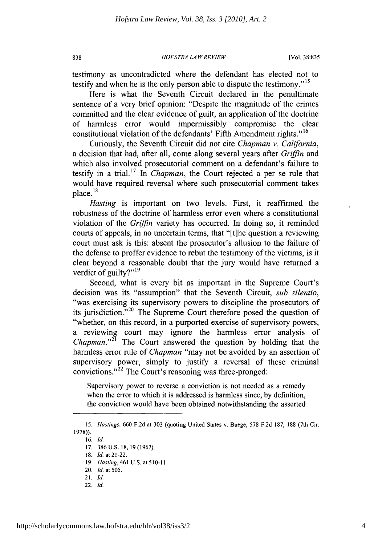#### *HOFSTRA LAW REVIEW* **838** [Vol. **38:835**

testimony as uncontradicted where the defendant has elected not to testify and when he is the only person able to dispute the testimony."<sup>15</sup>

Here is what the Seventh Circuit declared in the penultimate sentence of a very brief opinion: "Despite the magnitude of the crimes committed and the clear evidence of guilt, an application of the doctrine of harmless error would impermissibly compromise the clear constitutional violation of the defendants' Fifth Amendment rights."<sup>16</sup>

Curiously, the Seventh Circuit did not cite *Chapman v. California,* a decision that had, after all, come along several years after *Griffin and* which also involved prosecutorial comment on a defendant's failure to testify in a trial.17 *In Chapman,* the Court rejected a per se rule that would have required reversal where such prosecutorial comment takes place. **18**

*Hasting* is important on two levels. First, it reaffirmed the robustness of the doctrine of harmless error even where a constitutional violation of the *Griffin* variety has occurred. In doing so, it reminded courts of appeals, in no uncertain terms, that "[t]he question a reviewing court must ask is this: absent the prosecutor's allusion to the failure of the defense to proffer evidence to rebut the testimony of the victims, is it clear beyond a reasonable doubt that the jury would have returned a verdict of guilty?" $19$ 

Second, what is every bit as important in the Supreme Court's decision was its "assumption" that the Seventh Circuit, *sub silentio,* "was exercising its supervisory powers to discipline the prosecutors of its jurisdiction."<sup>20</sup> The Supreme Court therefore posed the question of "whether, on this record, in a purported exercise of supervisory powers, a reviewing court may ignore the harmless error analysis of *Chapman.*"<sup>21</sup> The Court answered the question by holding that the harmless error rule of *Chapman* "may not be avoided **by** an assertion of supervisory power, simply to justify a reversal of these criminal convictions."<sup> $22$ </sup> The Court's reasoning was three-pronged:

Supervisory power to reverse a conviction is not needed as a remedy when the error to which it is addressed is harmless since, **by** definition, the conviction would have been obtained notwithstanding the asserted

**16.** *Id.*

22. *Id.*

**<sup>15.</sup>** *Hastings,* **660 F.2d** *at* **303** (quoting United States v. Buege, **578 F.2d 187, 188** (7th Cir. **1978)).**

**<sup>17. 386</sup> U.S. 18, 19 (1967).**

**<sup>18.</sup>** *Id.* at 21-22.

**<sup>19.</sup>** *Hasting, 461* **U.S.** at **510-11.**

<sup>20.</sup> *Id. at 505.*

<sup>21.</sup> *Id.*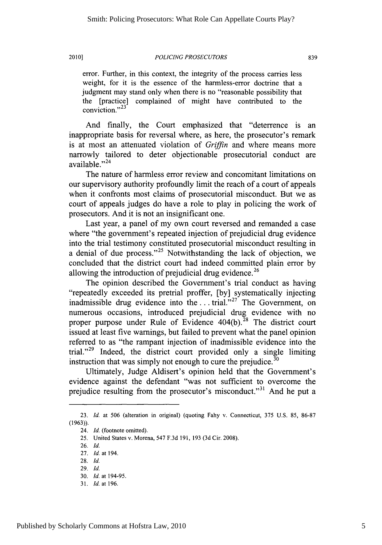error. Further, in this context, the integrity of the process carries less weight, for it is the essence of the harmless-error doctrine that a judgment may stand only when there is no "reasonable possibility that the [practice] complained of might have contributed to the conviction."<sup>23</sup>

And finally, the Court emphasized that "deterrence is an inappropriate basis for reversal where, as here, the prosecutor's remark is at most an attenuated violation of Griffin and where means more narrowly tailored to deter objectionable prosecutorial conduct are available."<sup>24</sup>

The nature of harmless error review and concomitant limitations on our supervisory authority profoundly limit the reach of a court of appeals when it confronts most claims of prosecutorial misconduct. But we as court of appeals judges do have a role to play in policing the work of prosecutors. And it is not an insignificant one.

Last year, a panel of my own court reversed and remanded a case where "the government's repeated injection of prejudicial drug evidence into the trial testimony constituted prosecutorial misconduct resulting in a denial of due process."<sup>25</sup> Notwithstanding the lack of objection, we concluded that the district court had indeed committed plain error **by** allowing the introduction of prejudicial drug evidence.<sup>26</sup>

The opinion described the Government's trial conduct as having "repeatedly exceeded its pretrial proffer, **[by]** systematically injecting inadmissible drug evidence into the ... trial."<sup>27</sup> The Government, on numerous occasions, introduced prejudicial drug evidence with no proper purpose under Rule of Evidence  $404(b)$ .<sup>28</sup> The district court issued at least five warnings, but failed to prevent what the panel opinion referred to as "the rampant injection of inadmissible evidence into the trial."<sup>29</sup> Indeed, the district court provided only a single limiting instruction that was simply not enough to cure the prejudice. $30$ 

Ultimately, Judge Aldisert's opinion held that the Government's evidence against the defendant "was not sufficient to overcome the prejudice resulting from the prosecutor's misconduct." **<sup>3</sup> '** And he put a

**<sup>23.</sup>** *Id.* at **506** (alteration in original) (quoting Fahy v. Connecticut, *375* **U.S. 85, 86-87 (1963)).**

<sup>24.</sup> *Id.* (footnote omitted).

**<sup>25.</sup>** United States v. Morena, *547* **F.3d 191, 193 (3d** Cir. **2008).**

**<sup>26.</sup>** *Id.*

**<sup>27.</sup>** *Id.* at 194.

**<sup>28.</sup>** *Id.*

**<sup>29.</sup>** *Id.*

**<sup>30.</sup>** *Id.* at 194-95.

**<sup>31.</sup>** *Id. at* **196.**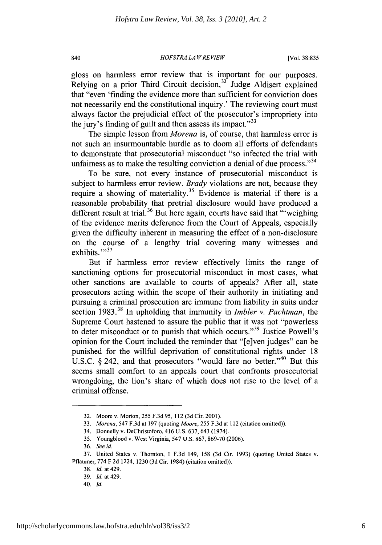#### 840 *HOFSTRA LAW RE VIEW* [Vol. **38:835**

gloss on harmless error review that is important for our purposes. Relying on a prior Third Circuit decision,  $3^2$  Judge Aldisert explained that "even 'finding the evidence more than sufficient for conviction does not necessarily end the constitutional inquiry.' The reviewing court must always factor the prejudicial effect of the prosecutor's impropriety into the jury's finding of guilt and then assess its impact." $33$ 

The simple lesson from *Morena* is, of course, that harmless error is not such an insurmountable hurdle as to doom all efforts of defendants to demonstrate that prosecutorial misconduct "so infected the trial with unfairness as to make the resulting conviction a denial of due process."<sup>34</sup>

To be sure, not every instance of prosecutorial misconduct is subject to harmless error review. *Brady* violations are not, because they require a showing of materiality.<sup>35</sup> Evidence is material if there is a reasonable probability that pretrial disclosure would have produced a different result at trial.<sup>36</sup> But here again, courts have said that "weighing" of the evidence merits deference from the Court of Appeals, especially given the difficulty inherent in measuring the effect of a non-disclosure on the course of a lengthy trial covering many witnesses and exhibits."<sup>37</sup>

But if harmless error review effectively limits the range of sanctioning options for prosecutorial misconduct in most cases, what other sanctions are available to courts of appeals? After all, state prosecutors acting within the scope of their authority in initiating and pursuing a criminal prosecution are immune from liability in suits under section **1983.** In upholding that immunity in *Imbler v. Pachtman, the* Supreme Court hastened to assure the public that it was not "powerless to deter misconduct or to punish that which occurs."39 Justice Powell's opinion for the Court included the reminder that "[e]ven judges" can be punished for the willful deprivation of constitutional rights under **18** U.S.C. § 242, and that prosecutors "would fare no better."<sup>40</sup> But this seems small comfort to an appeals court that confronts prosecutorial wrongdoing, the lion's share of which does not rise to the level of a criminal offense.

**<sup>32.</sup>** Moore v. Morton, *255* **F.3d** *95,* 112 **(3d** Cir. 2001).

**<sup>33.</sup>** *Morena,* 547 **F.3d** at **197** (quoting *Moore, 255* **F.3d** at 112 (citation omitted)).

<sup>34.</sup> Donnelly v. DeChristoforo, 416 **U.S. 637,** 643 (1974).

**<sup>35.</sup>** Youngblood v. West Virginia, 547 **U.S. 867, 869-70 (2006).**

**<sup>36.</sup>** *See id.*

**<sup>37.</sup>** United States v. Thornton, **I F.3d** 149, **158 (3d** Cir. **1993)** (quoting United States v. Pflaumer, **774 F.2d** 1224, **1230 (3d** Cir. 1984) (citation omitted)).

**<sup>38.</sup>** *Id.* at 429.

**<sup>39.</sup>** *Id.* at 429.

<sup>40.</sup> *Id.*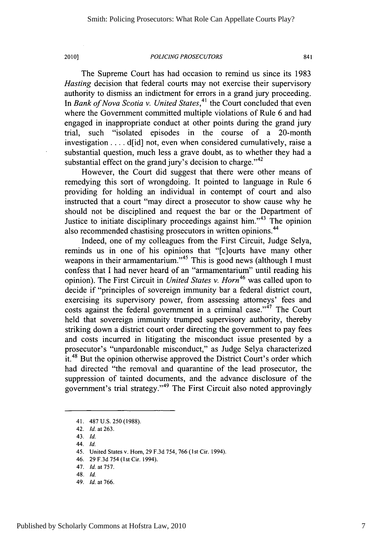The Supreme Court has had occasion to remind us since its **1983** *Hasting* decision that federal courts may not exercise their supervisory authority to dismiss an indictment for errors in a grand jury proceeding. In *Bank of Nova Scotia v. United States*,<sup>41</sup> the Court concluded that even where the Government committed multiple violations of Rule **6** and had engaged in inappropriate conduct at other points during the grand jury trial, such "isolated episodes in the course of a 20-month investigation **.** . . **.** d[id] not, even when considered cumulatively, raise a substantial question, much less a grave doubt, as to whether they had a substantial effect on the grand jury's decision to charge."<sup>42</sup>

However, the Court did suggest that there were other means of remedying this sort of wrongdoing. It pointed to language in Rule **6** providing for holding an individual in contempt of court and also instructed that a court "may direct a prosecutor to show cause why he should not be disciplined and request the bar or the Department of Justice to initiate disciplinary proceedings against him."<sup>43</sup> The opinion also recommended chastising prosecutors in written opinions.<sup>44</sup>

Indeed, one of my colleagues from the First Circuit, Judge Selya, reminds us in one of his opinions that "[c]ourts have many other weapons in their armamentarium."<sup>45</sup> This is good news (although I must confess that **I** had never heard of an "armamentarium" until reading his opinion). The First Circuit in *United States v. Horn46* was called upon to decide if "principles of sovereign immunity bar a federal district court, exercising its supervisory power, from assessing attorneys' fees and costs against the federal government in a criminal case."<sup>47</sup> The Court held that sovereign immunity trumped supervisory authority, thereby striking down a district court order directing the government to pay fees and costs incurred in litigating the misconduct issue presented **by** a prosecutor's "unpardonable misconduct," as Judge Selya characterized it.<sup>48</sup> But the opinion otherwise approved the District Court's order which had directed "the removal and quarantine of the lead prosecutor, the suppression of tainted documents, and the advance disclosure of the government's trial strategy."<sup>49</sup> The First Circuit also noted approvingly

44. **Id.**

49. *Id.* at **766.**

<sup>41.</sup> **487 U.S. 250 (1988).**

<sup>42.</sup> *Id.* at **263.**

<sup>43.</sup> Id.

<sup>45.</sup> United States v. Horn, **29 F.3d** 754, **766 (1st** Cir. 1994).

<sup>46.</sup> **29 F.3d** 754 (1st Cir. 1994).

<sup>47.</sup> *Id.* at **757.**

<sup>48.</sup> *Id.*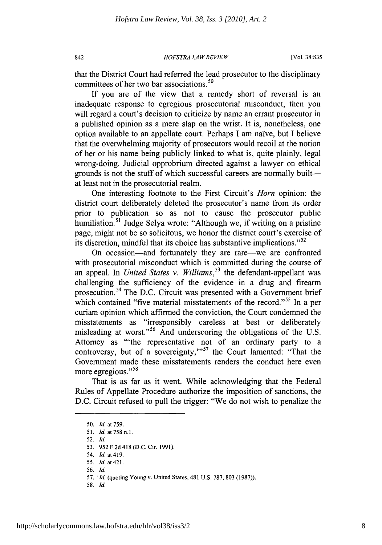*HOFSTRA LAW REVIEW* 842 [Vol. **38:835**

that the District Court had referred the lead prosecutor to the disciplinary committees of her two bar associations.<sup>50</sup>

**If** you are of the view that a remedy short of reversal is an inadequate response to egregious prosecutorial misconduct, then you will regard a court's decision to criticize **by** name an errant prosecutor in a published opinion as a mere slap on the wrist. It is, nonetheless, one option available to an appellate court. Perhaps **I** am naive, but **I** believe that the overwhelming majority of prosecutors would recoil at the notion of her or his name being publicly linked to what is, quite plainly, legal wrong-doing. Judicial opprobrium directed against a lawyer on ethical grounds is not the stuff of which successful careers are normally builtat least not in the prosecutorial realm.

One interesting footnote to the First Circuit's *Horn* opinion: the district court deliberately deleted the prosecutor's name from its order prior to publication so as not to cause the prosecutor public humiliation.<sup>51</sup> Judge Selya wrote: "Although we, if writing on a pristine page, might not be so solicitous, we honor the district court's exercise of its discretion, mindful that its choice has substantive implications."S2

On occasion—and fortunately they are rare—we are confronted with prosecutorial misconduct which is committed during the course of an appeal. In *United States v. Williams*,<sup>53</sup> the defendant-appellant was challenging the sufficiency of the evidence in a drug and firearm prosecution.<sup>54</sup> The D.C. Circuit was presented with a Government brief which contained "five material misstatements of the record."<sup>55</sup> In a per curiam opinion which affirmed the conviction, the Court condemned the misstatements as "irresponsibly careless at best or deliberately misleading at worst."<sup>56</sup> And underscoring the obligations of the U.S. Attorney as "'the representative not of an ordinary party to a controversy, but of a sovereignty,"<sup>57</sup> the Court lamented: "That the Government made these misstatements renders the conduct here even more egregious."<sup>58</sup>

That is as far as it went. While acknowledging that the Federal Rules of Appellate Procedure authorize the imposition of sanctions, the **D.C.** Circuit refused to pull the trigger: "We do not wish to penalize the

**55.** *Id. at 421.*

*58. Id.*

*<sup>50.</sup> Id. at* **759.**

**<sup>51.</sup>** *Id. at 758 n.I.*

**<sup>52.</sup>** *Id.*

**<sup>53. 952</sup> F.2d** 418 **(D.C.** Cir. **1991).**

<sup>54.</sup> *Id. at 419.*

**<sup>56.</sup>** *Id.*

*<sup>57.</sup> Id.* (quoting Young v. United States, 481 **U.S. 787, 803 (1987)).**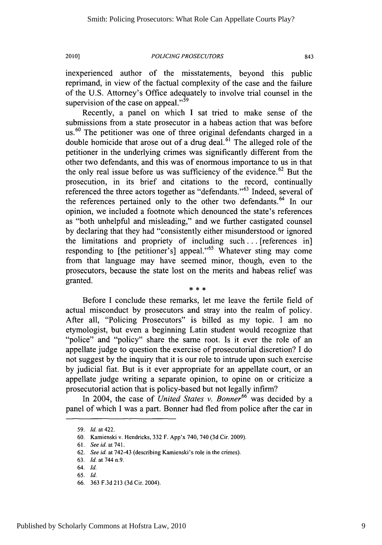inexperienced author of the misstatements, beyond this public reprimand, in view of the factual complexity of the case and the failure of the **U.S.** Attorney's Office adequately to involve trial counsel in the supervision of the case on appeal."<sup>59</sup>

Recently, a panel on which **I** sat tried to make sense of the submissions from a state prosecutor in a habeas action that was before **us. <sup>60</sup>**The petitioner was one of three original defendants charged in a double homicide that arose out of a drug deal.<sup>61</sup> The alleged role of the petitioner in the underlying crimes was significantly different from the other two defendants, and this was of enormous importance to us in that the only real issue before us was sufficiency of the evidence.<sup>62</sup> But the prosecution, in its brief and citations to the record, continually referenced the three actors together as "defendants."<sup>63</sup> Indeed, several of the references pertained only to the other two defendants.<sup>64</sup> In our opinion, we included a footnote which denounced the state's references as "both unhelpful and misleading," and we further castigated counsel **by** declaring that they had "consistently either misunderstood or ignored the limitations and propriety of including such **. ..** [references in] responding to [the petitioner's] appeal."65 Whatever sting may come from that language may have seemed minor, though, even to the prosecutors, because the state lost on the merits and habeas relief was granted.

Before **I** conclude these remarks, let me leave the fertile field of actual misconduct **by** prosecutors and stray into the realm of policy. After all, "Policing Prosecutors" is billed as my topic. **I** am no etymologist, but even a beginning Latin student would recognize that "police" and "policy" share the same root. Is it ever the role of an appellate judge to question the exercise of prosecutorial discretion? **I** do not suggest **by** the inquiry that it is our role to intrude upon such exercise **by** judicial fiat. But is it ever appropriate for an appellate court, or an appellate judge writing a separate opinion, to opine on or criticize a prosecutorial action that is policy-based but not legally infirm?

In 2004, the case of *United States v. Bonner66* was decided **by** a panel of which **I** was a part. Bonner had fled from police after the car in

**<sup>59.</sup> Id. at** 422.

**<sup>60.</sup>** Kamienski v. Hendricks, **332** F. App'x 740, 740 **(3d** Cir. **2009).**

**<sup>61.</sup>** *See id.* at **741.**

**<sup>62.</sup> See id. at** 742-43 (describing Kamienski's role in the crimes).

**<sup>63.</sup> Id.** at 744 n.9.

<sup>64.</sup> **Id.**

**<sup>65.</sup>** *Id.*

**<sup>66. 363</sup> F.3d 213 (3d** Cir. 2004).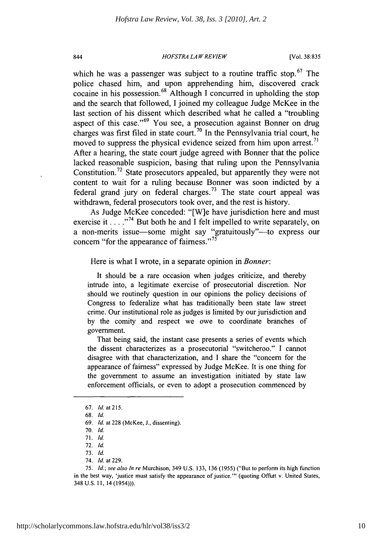#### *HOFSTRA LAW REVIEW* 844 [Vol. **38:835**

which he was a passenger was subject to a routine traffic stop.<sup>67</sup> The police chased him, and upon apprehending him, discovered crack cocaine in his possession.68 Although **I** concurred in upholding the stop and the search that followed, **I** joined my colleague Judge McKee in the last section of his dissent which described what he called a "troubling aspect of this case."<sup>69</sup> You see, a prosecution against Bonner on drug charges was first filed in state court.<sup>70</sup> In the Pennsylvania trial court, he moved to suppress the physical evidence seized from him upon arrest.<sup>71</sup> After a hearing, the state court judge agreed with Bonner that the police lacked reasonable suspicion, basing that ruling upon the Pennsylvania Constitution.<sup>72</sup> State prosecutors appealed, but apparently they were not content to wait for a ruling because Bonner was soon indicted **by** a federal grand jury on federal charges.<sup>73</sup> The state court appeal was withdrawn, federal prosecutors took over, and the rest is history.

As Judge McKee conceded: "[W]e have jurisdiction here and must exercise it  $\ldots$ <sup>74</sup> But both he and I felt impelled to write separately, on a non-merits issue—some might say "gratuitously"—to express our concern "for the appearance of fairness."<sup>75</sup>

Here is what **I** wrote, in a separate opinion in *Bonner:*

It should be a rare occasion when judges criticize, and thereby intrude into, a legitimate exercise of prosecutorial discretion. Nor should we routinely question in our opinions the policy decisions of Congress to federalize what has traditionally been state law street crime. Our institutional role as judges is limited **by** our jurisdiction and **by** the comity and respect we owe to coordinate branches of government.

That being said, the instant case presents a series of events which the dissent characterizes as a prosecutorial "switcheroo." **I** cannot disagree with that characterization, and **I** share the "concern for the appearance of fairness" expressed **by** Judge McKee. It is one thing for the government to assume an investigation initiated **by** state law enforcement officials, or even to adopt a prosecution commenced **by**

**<sup>67.</sup>** *Id. at 215.*

**<sup>68.</sup>** *Id.*

**<sup>69.</sup>** *Id. at* **228** (McKee, **J.,** dissenting).

**<sup>70.</sup>** *Id.*

**<sup>71.</sup>** *Id.*

**<sup>72.</sup>** *Id.*

**<sup>73.</sup>** *Id.*

<sup>74.</sup> *Id.* at **229.**

*<sup>75.</sup> Id.; see also In re* Murchison, 349 **U.S. 133, 136 (1955)** ("But to perform its high function in the best way, 'justice must satisfy the appearance of justice."' (quoting Offutt v. United States, 348 **U.S. 11,** 14 (1954))).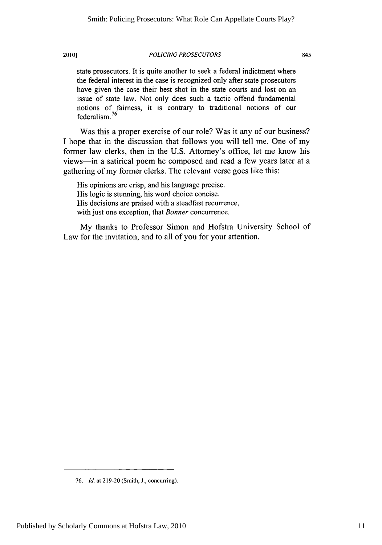state prosecutors. It is quite another to seek a federal indictment where the federal interest in the case is recognized only after state prosecutors have given the case their best shot in the state courts and lost on an issue of state law. Not only does such a tactic offend fundamental notions of fairness, it is contrary to traditional notions of our federalism. *76*

Was this a proper exercise of our role? Was it any of our business? **I** hope that in the discussion that follows you will tell me. One of my former law clerks, then in the **U.S.** Attorney's office, let me know his views-in a satirical poem he composed and read a few years later at a gathering of my former clerks. The relevant verse goes like this:

His opinions are crisp, and his language precise. His logic is stunning, his word choice concise. His decisions are praised with a steadfast recurrence, with just one exception, that Bonner concurrence.

**My** thanks to Professor Simon and Hofstra University School of Law for the invitation, and to all of you for your attention.

*<sup>76.</sup> Id.* at **219-20** (Smith, **J.,** concurring).